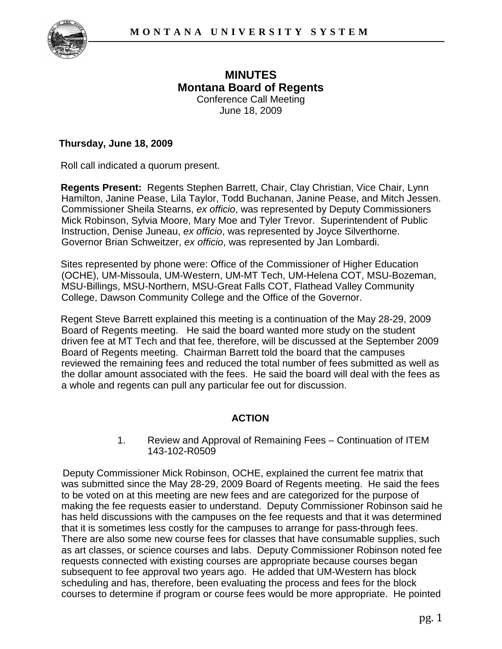

## **MINUTES Montana Board of Regents**  Conference Call Meeting June 18, 2009

## **Thursday, June 18, 2009**

Roll call indicated a quorum present.

**Regents Present:** Regents Stephen Barrett, Chair, Clay Christian, Vice Chair, Lynn Hamilton, Janine Pease, Lila Taylor, Todd Buchanan, Janine Pease, and Mitch Jessen. Commissioner Sheila Stearns, *ex officio*, was represented by Deputy Commissioners Mick Robinson, Sylvia Moore, Mary Moe and Tyler Trevor. Superintendent of Public Instruction, Denise Juneau, *ex officio*, was represented by Joyce Silverthorne. Governor Brian Schweitzer, *ex officio*, was represented by Jan Lombardi.

Sites represented by phone were: Office of the Commissioner of Higher Education (OCHE), UM-Missoula, UM-Western, UM-MT Tech, UM-Helena COT, MSU-Bozeman, MSU-Billings, MSU-Northern, MSU-Great Falls COT, Flathead Valley Community College, Dawson Community College and the Office of the Governor.

Regent Steve Barrett explained this meeting is a continuation of the May 28-29, 2009 Board of Regents meeting. He said the board wanted more study on the student driven fee at MT Tech and that fee, therefore, will be discussed at the September 2009 Board of Regents meeting. Chairman Barrett told the board that the campuses reviewed the remaining fees and reduced the total number of fees submitted as well as the dollar amount associated with the fees. He said the board will deal with the fees as a whole and regents can pull any particular fee out for discussion.

## **ACTION**

1. Review and Approval of Remaining Fees – Continuation of ITEM 143-102-R0509

Deputy Commissioner Mick Robinson, OCHE, explained the current fee matrix that was submitted since the May 28-29, 2009 Board of Regents meeting. He said the fees to be voted on at this meeting are new fees and are categorized for the purpose of making the fee requests easier to understand. Deputy Commissioner Robinson said he has held discussions with the campuses on the fee requests and that it was determined that it is sometimes less costly for the campuses to arrange for pass-through fees. There are also some new course fees for classes that have consumable supplies, such as art classes, or science courses and labs. Deputy Commissioner Robinson noted fee requests connected with existing courses are appropriate because courses began subsequent to fee approval two years ago. He added that UM-Western has block scheduling and has, therefore, been evaluating the process and fees for the block courses to determine if program or course fees would be more appropriate. He pointed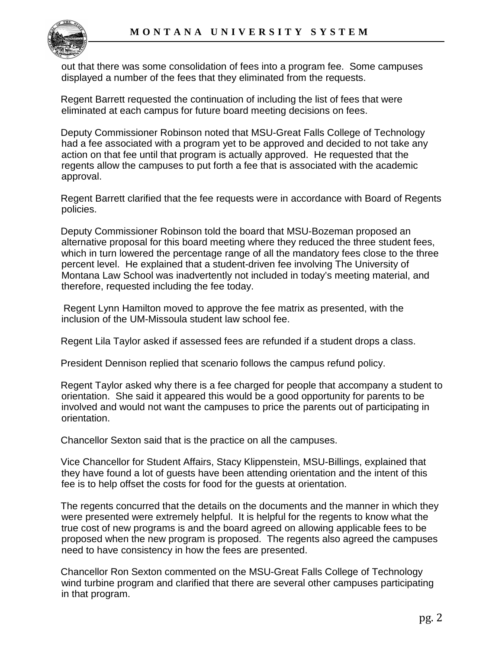

out that there was some consolidation of fees into a program fee. Some campuses displayed a number of the fees that they eliminated from the requests.

Regent Barrett requested the continuation of including the list of fees that were eliminated at each campus for future board meeting decisions on fees.

Deputy Commissioner Robinson noted that MSU-Great Falls College of Technology had a fee associated with a program yet to be approved and decided to not take any action on that fee until that program is actually approved. He requested that the regents allow the campuses to put forth a fee that is associated with the academic approval.

Regent Barrett clarified that the fee requests were in accordance with Board of Regents policies.

Deputy Commissioner Robinson told the board that MSU-Bozeman proposed an alternative proposal for this board meeting where they reduced the three student fees, which in turn lowered the percentage range of all the mandatory fees close to the three percent level. He explained that a student-driven fee involving The University of Montana Law School was inadvertently not included in today's meeting material, and therefore, requested including the fee today.

Regent Lynn Hamilton moved to approve the fee matrix as presented, with the inclusion of the UM-Missoula student law school fee.

Regent Lila Taylor asked if assessed fees are refunded if a student drops a class.

President Dennison replied that scenario follows the campus refund policy.

Regent Taylor asked why there is a fee charged for people that accompany a student to orientation. She said it appeared this would be a good opportunity for parents to be involved and would not want the campuses to price the parents out of participating in orientation.

Chancellor Sexton said that is the practice on all the campuses.

Vice Chancellor for Student Affairs, Stacy Klippenstein, MSU-Billings, explained that they have found a lot of guests have been attending orientation and the intent of this fee is to help offset the costs for food for the guests at orientation.

The regents concurred that the details on the documents and the manner in which they were presented were extremely helpful. It is helpful for the regents to know what the true cost of new programs is and the board agreed on allowing applicable fees to be proposed when the new program is proposed. The regents also agreed the campuses need to have consistency in how the fees are presented.

Chancellor Ron Sexton commented on the MSU-Great Falls College of Technology wind turbine program and clarified that there are several other campuses participating in that program.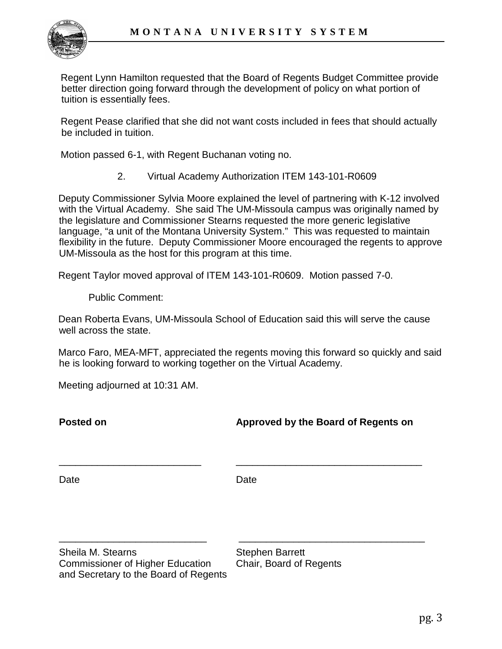

Regent Lynn Hamilton requested that the Board of Regents Budget Committee provide better direction going forward through the development of policy on what portion of tuition is essentially fees.

Regent Pease clarified that she did not want costs included in fees that should actually be included in tuition.

Motion passed 6-1, with Regent Buchanan voting no.

2. Virtual Academy Authorization ITEM 143-101-R0609

Deputy Commissioner Sylvia Moore explained the level of partnering with K-12 involved with the Virtual Academy. She said The UM-Missoula campus was originally named by the legislature and Commissioner Stearns requested the more generic legislative language, "a unit of the Montana University System." This was requested to maintain flexibility in the future. Deputy Commissioner Moore encouraged the regents to approve UM-Missoula as the host for this program at this time.

Regent Taylor moved approval of ITEM 143-101-R0609. Motion passed 7-0.

Public Comment:

Dean Roberta Evans, UM-Missoula School of Education said this will serve the cause well across the state.

Marco Faro, MEA-MFT, appreciated the regents moving this forward so quickly and said he is looking forward to working together on the Virtual Academy.

Meeting adjourned at 10:31 AM.

**Posted on Approved by the Board of Regents on**

Date **Date** Date

\_\_\_\_\_\_\_\_\_\_\_\_\_\_\_\_\_\_\_\_\_\_\_\_\_\_ \_\_\_\_\_\_\_\_\_\_\_\_\_\_\_\_\_\_\_\_\_\_\_\_\_\_\_\_\_\_\_\_\_\_

\_\_\_\_\_\_\_\_\_\_\_\_\_\_\_\_\_\_\_\_\_\_\_\_\_\_\_ \_\_\_\_\_\_\_\_\_\_\_\_\_\_\_\_\_\_\_\_\_\_\_\_\_\_\_\_\_\_\_\_\_\_

Sheila M. Stearns Sheila M. Stephen Barrett<br>Commissioner of Higher Education Chair, Board of Regents Commissioner of Higher Education and Secretary to the Board of Regents